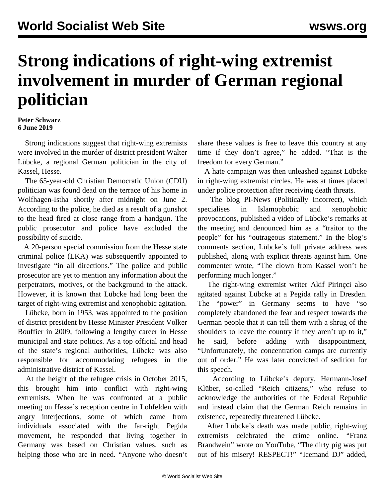## **Strong indications of right-wing extremist involvement in murder of German regional politician**

## **Peter Schwarz 6 June 2019**

 Strong indications suggest that right-wing extremists were involved in the murder of district president Walter Lübcke, a regional German politician in the city of Kassel, Hesse.

 The 65-year-old Christian Democratic Union (CDU) politician was found dead on the terrace of his home in Wolfhagen-Istha shortly after midnight on June 2. According to the police, he died as a result of a gunshot to the head fired at close range from a handgun. The public prosecutor and police have excluded the possibility of suicide.

 A 20-person special commission from the Hesse state criminal police (LKA) was subsequently appointed to investigate "in all directions." The police and public prosecutor are yet to mention any information about the perpetrators, motives, or the background to the attack. However, it is known that Lübcke had long been the target of right-wing extremist and xenophobic agitation.

 Lübcke, born in 1953, was appointed to the position of district president by Hesse Minister President Volker Bouffier in 2009, following a lengthy career in Hesse municipal and state politics. As a top official and head of the state's regional authorities, Lübcke was also responsible for accommodating refugees in the administrative district of Kassel.

 At the height of the refugee crisis in October 2015, this brought him into conflict with right-wing extremists. When he was confronted at a public meeting on Hesse's reception centre in Lohfelden with angry interjections, some of which came from individuals associated with the far-right Pegida movement, he responded that living together in Germany was based on Christian values, such as helping those who are in need. "Anyone who doesn't share these values is free to leave this country at any time if they don't agree," he added. "That is the freedom for every German."

 A hate campaign was then unleashed against Lübcke in right-wing extremist circles. He was at times placed under police protection after receiving death threats.

 The blog PI-News (Politically Incorrect), which specialises in Islamophobic and xenophobic provocations, published a video of Lübcke's remarks at the meeting and denounced him as a "traitor to the people" for his "outrageous statement." In the blog's comments section, Lübcke's full private address was published, along with explicit threats against him. One commenter wrote, "The clown from Kassel won't be performing much longer."

 The right-wing extremist writer Akif Pirinçci also agitated against Lübcke at a Pegida rally in Dresden. The "power" in Germany seems to have "so completely abandoned the fear and respect towards the German people that it can tell them with a shrug of the shoulders to leave the country if they aren't up to it," he said, before adding with disappointment, "Unfortunately, the concentration camps are currently out of order." He was later convicted of sedition for this speech.

 According to Lübcke's deputy, Hermann-Josef Klüber, so-called "Reich citizens," who refuse to acknowledge the authorities of the Federal Republic and instead claim that the German Reich remains in existence, repeatedly threatened Lübcke.

 After Lübcke's death was made public, right-wing extremists celebrated the crime online. "Franz Brandwein" wrote on YouTube, "The dirty pig was put out of his misery! RESPECT!" "Icemand DJ" added,